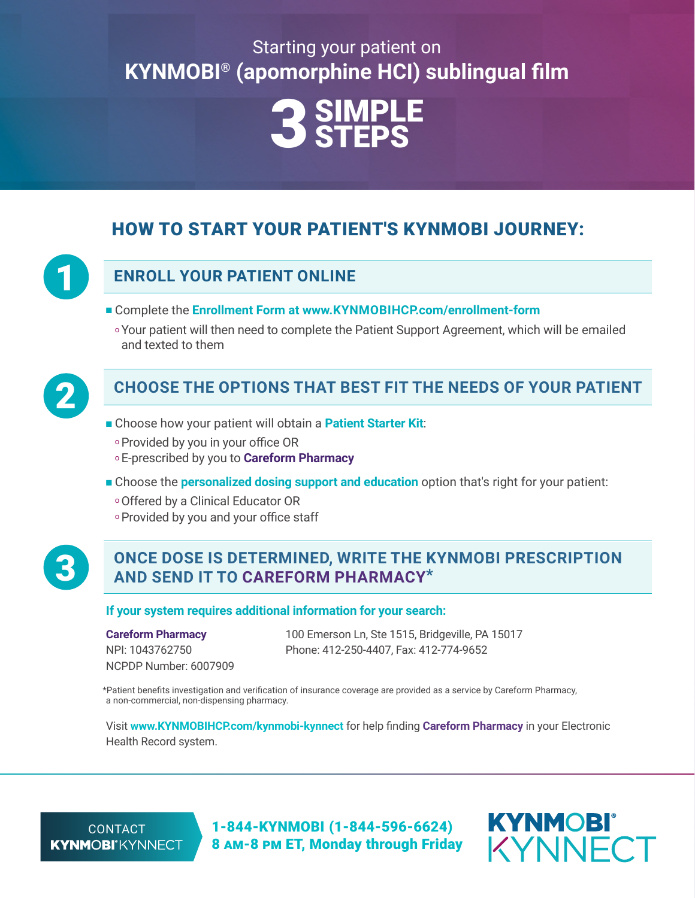# Starting your patient on **KYNMOBI® (apomorphine HCI) sublingual film**



## HOW TO START YOUR PATIENT'S KYNMOBI JOURNEY:



## **ENROLL YOUR PATIENT ONLINE**

- Complete the **Enrollment Form [at www.KYNMOBIHCP.com/enrollment-form](https://www.kynmobihcp.com/enrollment-form/)**
	- oYour patient will then need to complete the Patient Support Agreement, which will be emailed and texted to them



## 2 **CHOOSE THE OPTIONS THAT BEST FIT THE NEEDS OF YOUR PATIENT**

- Choose how your patient will obtain a **[Patient Starter Kit](https://www.kynmobihcp.com/starter-kit/)**:
	- oProvided by you in your office OR
- <sup>o</sup> E-prescribed by you to **Careform Pharmacy**
- Choose the **[personalized dosing support and education](https://www.kynmobihcp.com/kynmobi-kynnect/)** option that's right for your patient:
	- oOffered by a Clinical Educator OR
	- oProvided by you and your office staff



### 3 **ONCE DOSE IS DETERMINED, WRITE THE KYNMOBI PRESCRIPTION AND SEND IT TO CAREFORM PHARMACY\***

#### **If your system requires additional information for your search:**

### **Careform Pharmacy**

NPI: 1043762750 NCPDP Number: 6007909 100 Emerson Ln, Ste 1515, Bridgeville, PA 15017 Phone: 412-250-4407, Fax: 412-774-9652

\*Patient benefits investigation and verification of insurance coverage are provided as a service by Careform Pharmacy, a non-commercial, non-dispensing pharmacy.

Visit **[www.KYNMOBIHCP.com/kynmobi-kynnect](https://www.kynmobihcp.com/kynmobi-kynnect/)** for help finding **Careform Pharmacy** in your Electronic Health Record system.

CONTACT **KYNMOBI**<sup>®</sup>KYNNECT

1-844-KYNMOBI (1-844-596-6624) 8 am-8 pm ET, Monday through Friday